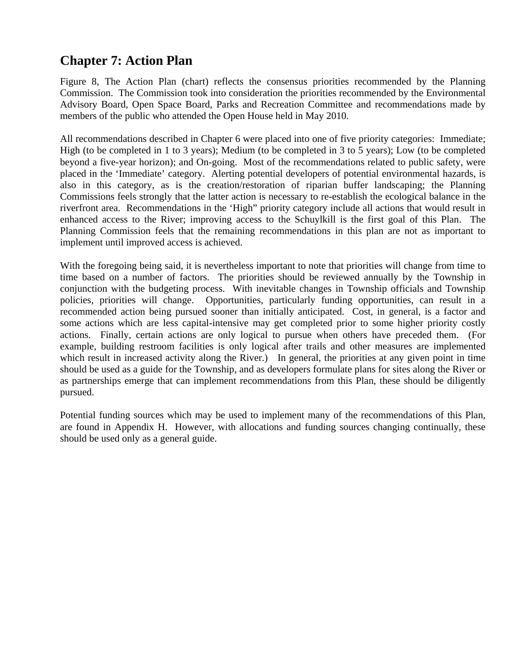## **Chapter 7: Action Plan**

Figure 8, The Action Plan (chart) reflects the consensus priorities recommended by the Planning Commission. The Commission took into consideration the priorities recommended by the Environmental Advisory Board, Open Space Board, Parks and Recreation Committee and recommendations made by members of the public who attended the Open House held in May 2010.

All recommendations described in Chapter 6 were placed into one of five priority categories: Immediate; High (to be completed in 1 to 3 years); Medium (to be completed in 3 to 5 years); Low (to be completed beyond a five-year horizon); and On-going. Most of the recommendations related to public safety, were placed in the 'Immediate' category. Alerting potential developers of potential environmental hazards, is also in this category, as is the creation/restoration of riparian buffer landscaping; the Planning Commissions feels strongly that the latter action is necessary to re-establish the ecological balance in the riverfront area. Recommendations in the 'High" priority category include all actions that would result in enhanced access to the River; improving access to the Schuylkill is the first goal of this Plan. The Planning Commission feels that the remaining recommendations in this plan are not as important to implement until improved access is achieved.

With the foregoing being said, it is nevertheless important to note that priorities will change from time to time based on a number of factors. The priorities should be reviewed annually by the Township in conjunction with the budgeting process. With inevitable changes in Township officials and Township policies, priorities will change. Opportunities, particularly funding opportunities, can result in a recommended action being pursued sooner than initially anticipated. Cost, in general, is a factor and some actions which are less capital-intensive may get completed prior to some higher priority costly actions. Finally, certain actions are only logical to pursue when others have preceded them. (For example, building restroom facilities is only logical after trails and other measures are implemented which result in increased activity along the River.) In general, the priorities at any given point in time should be used as a guide for the Township, and as developers formulate plans for sites along the River or as partnerships emerge that can implement recommendations from this Plan, these should be diligently pursued.

Potential funding sources which may be used to implement many of the recommendations of this Plan, are found in Appendix H. However, with allocations and funding sources changing continually, these should be used only as a general guide.